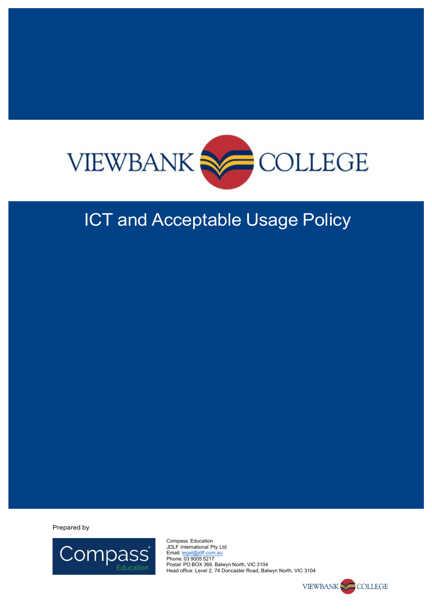

### ICT and Acceptable Usage Policy

Prepared by



Compass Education JDLF International Pty Ltd Email: legal@jdlf.com.au Phone: 03 9005 5217 Postal: PO BOX 366, Balwyn North, VIC 3104 Head office: Level 2, 74 Doncaster Road, Balwyn North, VIC 3104

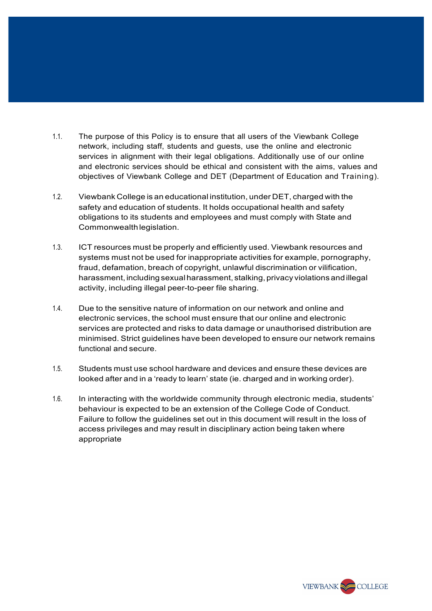- 1.1. The purpose of this Policy is to ensure that all users of the Viewbank College network, including staff, students and guests, use the online and electronic services in alignment with their legal obligations. Additionally use of our online and electronic services should be ethical and consistent with the aims, values and objectives of Viewbank College and DET (Department of Education and Training).
- 1.2. Viewbank College is an educational institution, under DET, charged with the safety and education of students. It holds occupational health and safety obligations to its students and employees and must comply with State and Commonwealthlegislation.
- 1.3. ICT resources must be properly and efficiently used. Viewbank resources and systems must not be used for inappropriate activities for example, pornography, fraud, defamation, breach of copyright, unlawful discrimination or vilification, harassment, including sexual harassment, stalking, privacy violations and illegal activity, including illegal peer-to-peer file sharing.
- 1.4. Due to the sensitive nature of information on our network and online and electronic services, the school must ensure that our online and electronic services are protected and risks to data damage or unauthorised distribution are minimised. Strict guidelines have been developed to ensure our network remains functional and secure.
- 1.5. Students must use school hardware and devices and ensure these devices are looked after and in a 'ready to learn' state (ie. charged and in working order).
- 1.6. In interacting with the worldwide community through electronic media, students' behaviour is expected to be an extension of the College Code of Conduct. Failure to follow the guidelines set out in this document will result in the loss of access privileges and may result in disciplinary action being taken where appropriate

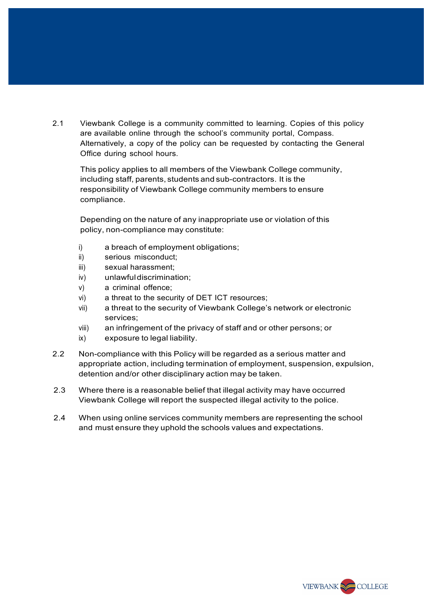2.1 Viewbank College is a community committed to learning. Copies of this policy are available online through the school's community portal, Compass. Alternatively, a copy of the policy can be requested by contacting the General Office during school hours.

This policy applies to all members of the Viewbank College community, including staff, parents, students and sub-contractors. It is the responsibility of Viewbank College community members to ensure compliance.

Depending on the nature of any inappropriate use or violation of this policy, non-compliance may constitute:

- i) a breach of employment obligations;
- ii) serious misconduct;
- iii) sexual harassment;
- iv) unlawful discrimination;
- v) a criminal offence;
- vi) a threat to the security of DET ICT resources;
- vii) a threat to the security of Viewbank College's network or electronic services;
- viii) an infringement of the privacy of staff and or other persons; or
- ix) exposure to legal liability.
- 2.2 Non-compliance with this Policy will be regarded as a serious matter and appropriate action, including termination of employment, suspension, expulsion, detention and/or other disciplinary action may be taken.
- 2.3 Where there is a reasonable belief that illegal activity may have occurred Viewbank College will report the suspected illegal activity to the police.
- 2.4 When using online services community members are representing the school and must ensure they uphold the schools values and expectations.

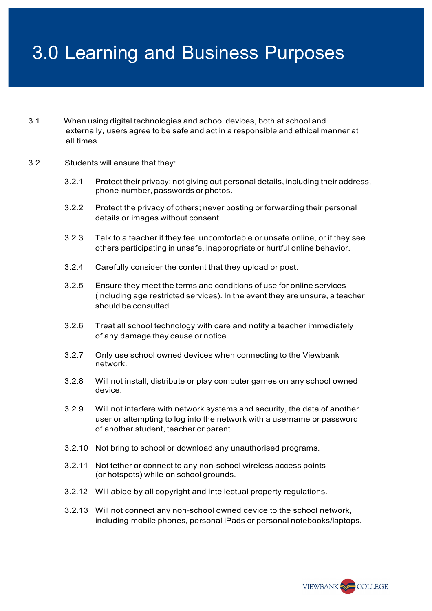# 3.0 Learning and Business Purposes

- 3.1 When using digital technologies and school devices, both at school and externally, users agree to be safe and act in a responsible and ethical manner at all times.
- 3.2 Students will ensure that they:
	- 3.2.1 Protect their privacy; not giving out personal details, including their address, phone number, passwords or photos.
	- 3.2.2 Protect the privacy of others; never posting or forwarding their personal details or images without consent.
	- 3.2.3 Talk to a teacher if they feel uncomfortable or unsafe online, or if they see others participating in unsafe, inappropriate or hurtful online behavior.
	- 3.2.4 Carefully consider the content that they upload or post.
	- 3.2.5 Ensure they meet the terms and conditions of use for online services (including age restricted services). In the event they are unsure, a teacher should be consulted.
	- 3.2.6 Treat all school technology with care and notify a teacher immediately of any damage they cause or notice.
	- 3.2.7 Only use school owned devices when connecting to the Viewbank network.
	- 3.2.8 Will not install, distribute or play computer games on any school owned device.
	- 3.2.9 Will not interfere with network systems and security, the data of another user or attempting to log into the network with a username or password of another student, teacher or parent.
	- 3.2.10 Not bring to school or download any unauthorised programs.
	- 3.2.11 Not tether or connect to any non-school wireless access points (or hotspots) while on school grounds.
	- 3.2.12 Will abide by all copyright and intellectual property regulations.
	- 3.2.13 Will not connect any non-school owned device to the school network, including mobile phones, personal iPads or personal notebooks/laptops.

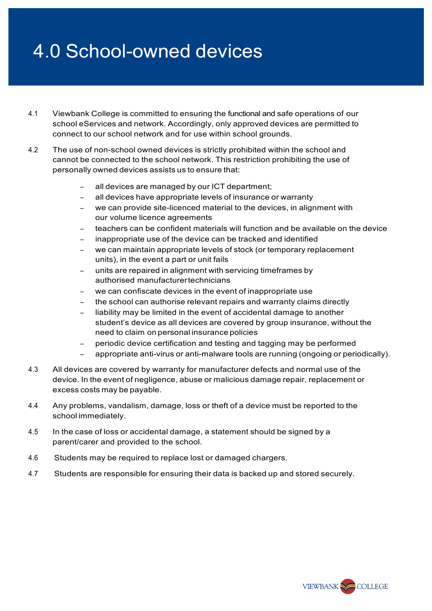### 4.0 School-owned devices

- 4.1 Viewbank College is committed to ensuring the functional and safe operations of our school eServices and network. Accordingly, only approved devices are permitted to connect to our school network and for use within school grounds.
- 4.2 The use of non-school owned devices is strictly prohibited within the school and cannot be connected to the school network. This restriction prohibiting the use of personally owned devices assists us to ensure that:
	- all devices are managed by our ICT department;
	- all devices have appropriate levels of insurance or warranty
	- we can provide site-licenced material to the devices, in alignment with our volume licence agreements
	- teachers can be confident materials will function and be available on the device
	- inappropriate use of the device can be tracked and identified
	- we can maintain appropriate levels of stock (or temporary replacement units), in the event a part or unit fails
	- units are repaired in alignment with servicing timeframes by authorised manufacturertechnicians
	- we can confiscate devices in the event of inappropriate use
	- the school can authorise relevant repairs and warranty claims directly
	- liability may be limited in the event of accidental damage to another student's device as all devices are covered by group insurance, without the need to claim on personal insurance policies
	- − periodic device certification and testing and tagging may be performed
	- − appropriate anti-virus or anti-malware tools are running (ongoing or periodically).
- 4.3 All devices are covered by warranty for manufacturer defects and normal use of the device. In the event of negligence, abuse or malicious damage repair, replacement or excess costs may be payable.
- 4.4 Any problems, vandalism, damage, loss or theft of a device must be reported to the school immediately.
- 4.5 In the case of loss or accidental damage, a statement should be signed by a parent/carer and provided to the school.
- 4.6 Students may be required to replace lost or damaged chargers.
- 4.7 Students are responsible for ensuring their data is backed up and stored securely.

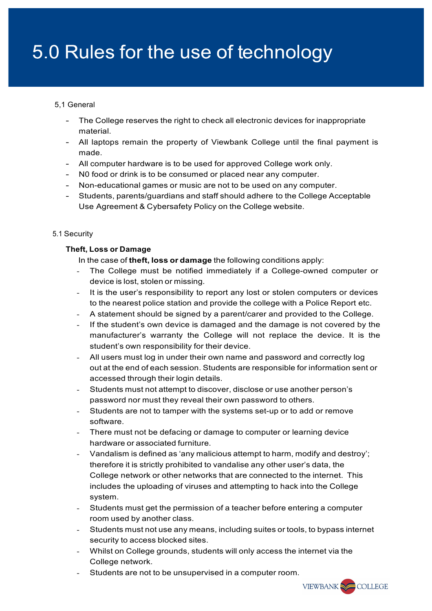## 5.0 Rules for the use of technology

#### 5,1 General

- The College reserves the right to check all electronic devices for inappropriate material.
- All laptops remain the property of Viewbank College until the final payment is made.
- All computer hardware is to be used for approved College work only.
- N0 food or drink is to be consumed or placed near any computer.
- Non-educational games or music are not to be used on any computer.
- Students, parents/guardians and staff should adhere to the College Acceptable Use Agreement & Cybersafety Policy on the College website.

#### 5.1 Security

#### **Theft, Loss or Damage**

In the case of **theft, loss or damage** the following conditions apply:

- The College must be notified immediately if a College-owned computer or device is lost, stolen or missing.
- It is the user's responsibility to report any lost or stolen computers or devices to the nearest police station and provide the college with a Police Report etc.
- A statement should be signed by a parent/carer and provided to the College.
- If the student's own device is damaged and the damage is not covered by the manufacturer's warranty the College will not replace the device. It is the student's own responsibility for their device.
- All users must log in under their own name and password and correctly log out at the end of each session. Students are responsible for information sent or accessed through their login details.
- Students must not attempt to discover, disclose or use another person's password nor must they reveal their own password to others.
- Students are not to tamper with the systems set-up or to add or remove software.
- There must not be defacing or damage to computer or learning device hardware or associated furniture.
- Vandalism is defined as 'any malicious attempt to harm, modify and destroy'; therefore it is strictly prohibited to vandalise any other user's data, the College network or other networks that are connected to the internet. This includes the uploading of viruses and attempting to hack into the College system.
- Students must get the permission of a teacher before entering a computer room used by another class.
- Students must not use any means, including suites or tools, to bypass internet security to access blocked sites.
- Whilst on College grounds, students will only access the internet via the College network.
- Students are not to be unsupervised in a computer room.

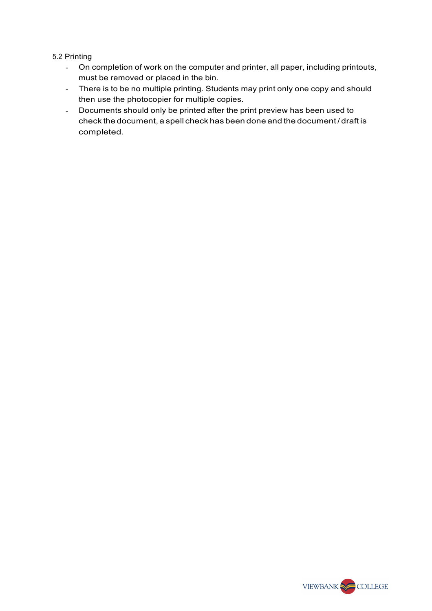#### 5.2 Printing

- On completion of work on the computer and printer, all paper, including printouts, must be removed or placed in the bin.
- There is to be no multiple printing. Students may print only one copy and should then use the photocopier for multiple copies.
- Documents should only be printed after the print preview has been used to check the document, a spell check has been done and the document / draft is completed.